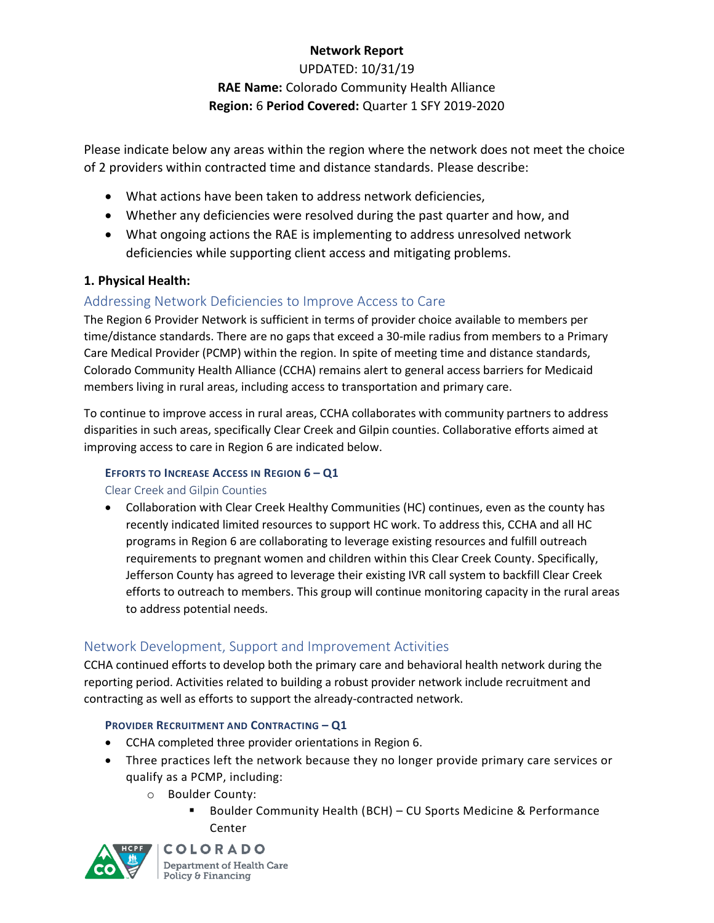# **Network Report**

UPDATED: 10/31/19 **RAE Name:** Colorado Community Health Alliance **Region:** 6 **Period Covered:** Quarter 1 SFY 2019-2020

Please indicate below any areas within the region where the network does not meet the choice of 2 providers within contracted time and distance standards. Please describe:

- What actions have been taken to address network deficiencies,
- Whether any deficiencies were resolved during the past quarter and how, and
- What ongoing actions the RAE is implementing to address unresolved network deficiencies while supporting client access and mitigating problems.

## **1. Physical Health:**

# Addressing Network Deficiencies to Improve Access to Care

The Region 6 Provider Network is sufficient in terms of provider choice available to members per time/distance standards. There are no gaps that exceed a 30-mile radius from members to a Primary Care Medical Provider (PCMP) within the region. In spite of meeting time and distance standards, Colorado Community Health Alliance (CCHA) remains alert to general access barriers for Medicaid members living in rural areas, including access to transportation and primary care.

To continue to improve access in rural areas, CCHA collaborates with community partners to address disparities in such areas, specifically Clear Creek and Gilpin counties. Collaborative efforts aimed at improving access to care in Region 6 are indicated below.

## **EFFORTS TO INCREASE ACCESS IN REGION 6 – Q1**

Clear Creek and Gilpin Counties

 Collaboration with Clear Creek Healthy Communities (HC) continues, even as the county has recently indicated limited resources to support HC work. To address this, CCHA and all HC programs in Region 6 are collaborating to leverage existing resources and fulfill outreach requirements to pregnant women and children within this Clear Creek County. Specifically, Jefferson County has agreed to leverage their existing IVR call system to backfill Clear Creek efforts to outreach to members. This group will continue monitoring capacity in the rural areas to address potential needs.

# Network Development, Support and Improvement Activities

CCHA continued efforts to develop both the primary care and behavioral health network during the reporting period. Activities related to building a robust provider network include recruitment and contracting as well as efforts to support the already-contracted network.

### **PROVIDER RECRUITMENT AND CONTRACTING – Q1**

- CCHA completed three provider orientations in Region 6.
- Three practices left the network because they no longer provide primary care services or qualify as a PCMP, including:
	- o Boulder County:
		- Boulder Community Health (BCH) CU Sports Medicine & Performance Center



**COLORADO** Department of Health Care Policy & Financing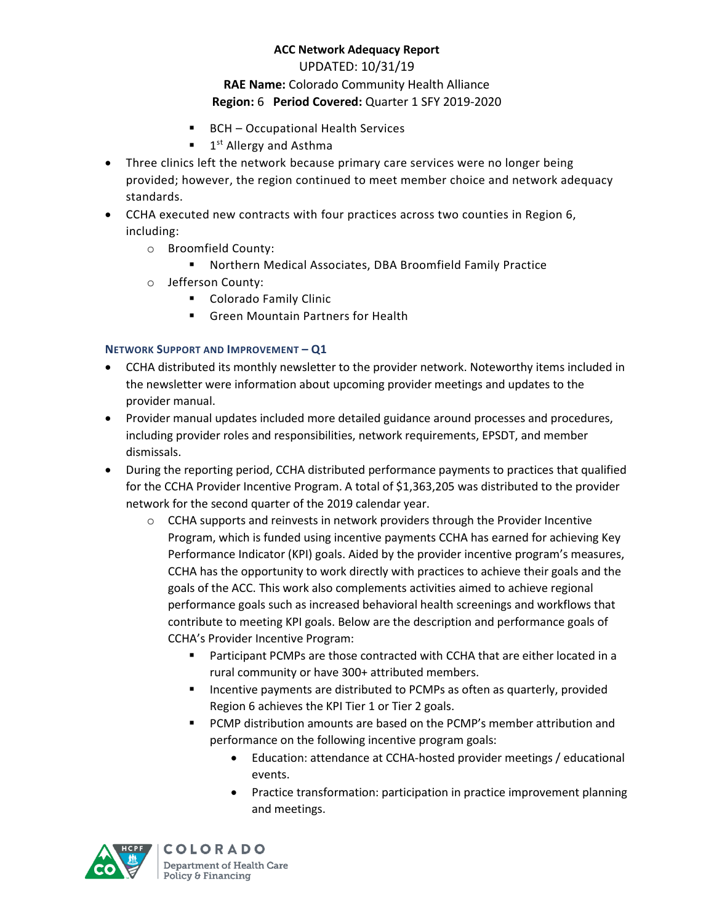### UPDATED: 10/31/19

# **RAE Name:** Colorado Community Health Alliance **Region:** 6 **Period Covered:** Quarter 1 SFY 2019-2020

- BCH Occupational Health Services
- **1**<sup>st</sup> Allergy and Asthma
- Three clinics left the network because primary care services were no longer being provided; however, the region continued to meet member choice and network adequacy standards.
- CCHA executed new contracts with four practices across two counties in Region 6, including:
	- o Broomfield County:
		- Northern Medical Associates, DBA Broomfield Family Practice
	- o Jefferson County:
		- **Colorado Family Clinic**
		- **Green Mountain Partners for Health**

## **NETWORK SUPPORT AND IMPROVEMENT – Q1**

- CCHA distributed its monthly newsletter to the provider network. Noteworthy items included in the newsletter were information about upcoming provider meetings and updates to the provider manual.
- Provider manual updates included more detailed guidance around processes and procedures, including provider roles and responsibilities, network requirements, EPSDT, and member dismissals.
- During the reporting period, CCHA distributed performance payments to practices that qualified for the CCHA Provider Incentive Program. A total of \$1,363,205 was distributed to the provider network for the second quarter of the 2019 calendar year.
	- $\circ$  CCHA supports and reinvests in network providers through the Provider Incentive Program, which is funded using incentive payments CCHA has earned for achieving Key Performance Indicator (KPI) goals. Aided by the provider incentive program's measures, CCHA has the opportunity to work directly with practices to achieve their goals and the goals of the ACC. This work also complements activities aimed to achieve regional performance goals such as increased behavioral health screenings and workflows that contribute to meeting KPI goals. Below are the description and performance goals of CCHA's Provider Incentive Program:
		- Participant PCMPs are those contracted with CCHA that are either located in a rural community or have 300+ attributed members.
		- Incentive payments are distributed to PCMPs as often as quarterly, provided Region 6 achieves the KPI Tier 1 or Tier 2 goals.
		- PCMP distribution amounts are based on the PCMP's member attribution and performance on the following incentive program goals:
			- Education: attendance at CCHA-hosted provider meetings / educational events.
			- Practice transformation: participation in practice improvement planning and meetings.



**COLORADO** Department of Health Care Policy & Financing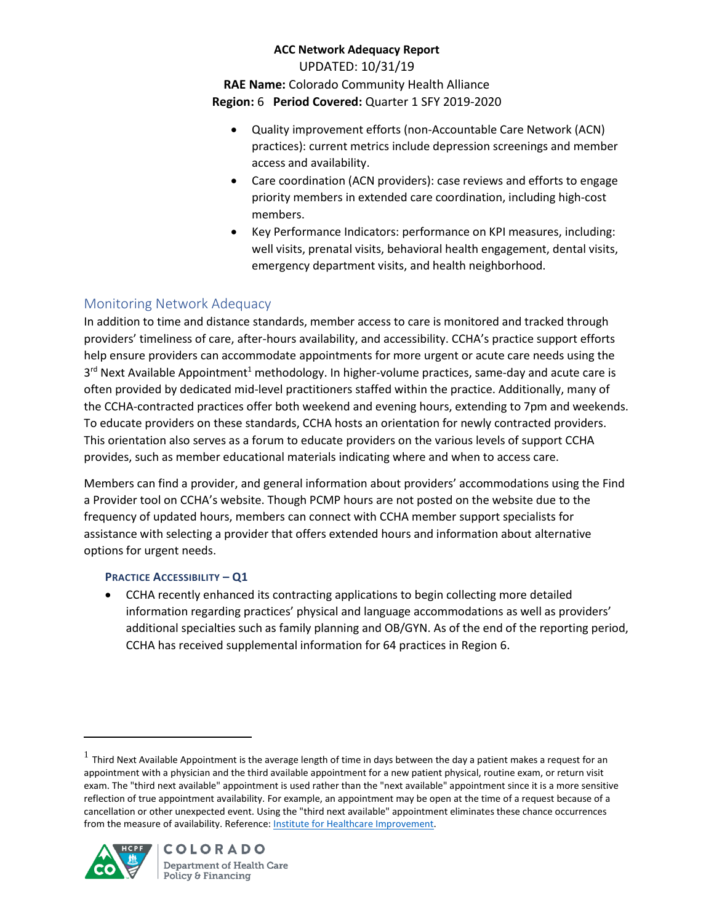### **ACC Network Adequacy Report**  UPDATED: 10/31/19

**RAE Name:** Colorado Community Health Alliance **Region:** 6 **Period Covered:** Quarter 1 SFY 2019-2020

- Quality improvement efforts (non-Accountable Care Network (ACN) practices): current metrics include depression screenings and member access and availability.
- Care coordination (ACN providers): case reviews and efforts to engage priority members in extended care coordination, including high-cost members.
- Key Performance Indicators: performance on KPI measures, including: well visits, prenatal visits, behavioral health engagement, dental visits, emergency department visits, and health neighborhood.

# Monitoring Network Adequacy

In addition to time and distance standards, member access to care is monitored and tracked through providers' timeliness of care, after-hours availability, and accessibility. CCHA's practice support efforts help ensure providers can accommodate appointments for more urgent or acute care needs using the 3<sup>rd</sup> Next Available Appointment<sup>1</sup> methodology. In higher-volume practices, same-day and acute care is often provided by dedicated mid-level practitioners staffed within the practice. Additionally, many of the CCHA-contracted practices offer both weekend and evening hours, extending to 7pm and weekends. To educate providers on these standards, CCHA hosts an orientation for newly contracted providers. This orientation also serves as a forum to educate providers on the various levels of support CCHA provides, such as member educational materials indicating where and when to access care.

Members can find a provider, and general information about providers' accommodations using the Find a Provider tool on CCHA's website. Though PCMP hours are not posted on the website due to the frequency of updated hours, members can connect with CCHA member support specialists for assistance with selecting a provider that offers extended hours and information about alternative options for urgent needs.

## **PRACTICE ACCESSIBILITY – Q1**

 CCHA recently enhanced its contracting applications to begin collecting more detailed information regarding practices' physical and language accommodations as well as providers' additional specialties such as family planning and OB/GYN. As of the end of the reporting period, CCHA has received supplemental information for 64 practices in Region 6.

 $^1$  Third Next Available Appointment is the average length of time in days between the day a patient makes a request for an appointment with a physician and the third available appointment for a new patient physical, routine exam, or return visit exam. The "third next available" appointment is used rather than the "next available" appointment since it is a more sensitive reflection of true appointment availability. For example, an appointment may be open at the time of a request because of a cancellation or other unexpected event. Using the "third next available" appointment eliminates these chance occurrences from the measure of availability. Reference[: Institute for Healthcare Improvement.](http://www.ihi.org/resources/Pages/Measures/ThirdNextAvailableAppointment.aspx)



l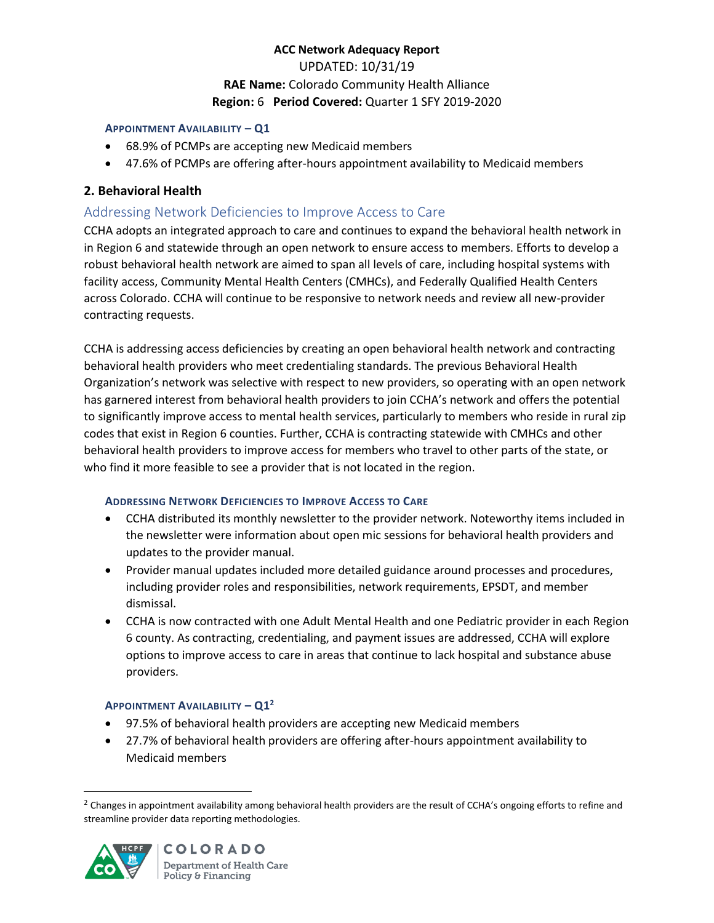## **ACC Network Adequacy Report**  UPDATED: 10/31/19 **RAE Name:** Colorado Community Health Alliance **Region:** 6 **Period Covered:** Quarter 1 SFY 2019-2020

#### **APPOINTMENT AVAILABILITY – Q1**

- 68.9% of PCMPs are accepting new Medicaid members
- 47.6% of PCMPs are offering after-hours appointment availability to Medicaid members

### **2. Behavioral Health**

### Addressing Network Deficiencies to Improve Access to Care

CCHA adopts an integrated approach to care and continues to expand the behavioral health network in in Region 6 and statewide through an open network to ensure access to members. Efforts to develop a robust behavioral health network are aimed to span all levels of care, including hospital systems with facility access, Community Mental Health Centers (CMHCs), and Federally Qualified Health Centers across Colorado. CCHA will continue to be responsive to network needs and review all new-provider contracting requests.

CCHA is addressing access deficiencies by creating an open behavioral health network and contracting behavioral health providers who meet credentialing standards. The previous Behavioral Health Organization's network was selective with respect to new providers, so operating with an open network has garnered interest from behavioral health providers to join CCHA's network and offers the potential to significantly improve access to mental health services, particularly to members who reside in rural zip codes that exist in Region 6 counties. Further, CCHA is contracting statewide with CMHCs and other behavioral health providers to improve access for members who travel to other parts of the state, or who find it more feasible to see a provider that is not located in the region.

### **ADDRESSING NETWORK DEFICIENCIES TO IMPROVE ACCESS TO CARE**

- CCHA distributed its monthly newsletter to the provider network. Noteworthy items included in the newsletter were information about open mic sessions for behavioral health providers and updates to the provider manual.
- Provider manual updates included more detailed guidance around processes and procedures, including provider roles and responsibilities, network requirements, EPSDT, and member dismissal.
- CCHA is now contracted with one Adult Mental Health and one Pediatric provider in each Region 6 county. As contracting, credentialing, and payment issues are addressed, CCHA will explore options to improve access to care in areas that continue to lack hospital and substance abuse providers.

### **APPOINTMENT AVAILABILITY – Q1<sup>2</sup>**

- 97.5% of behavioral health providers are accepting new Medicaid members
- 27.7% of behavioral health providers are offering after-hours appointment availability to Medicaid members

<sup>&</sup>lt;sup>2</sup> Changes in appointment availability among behavioral health providers are the result of CCHA's ongoing efforts to refine and streamline provider data reporting methodologies.

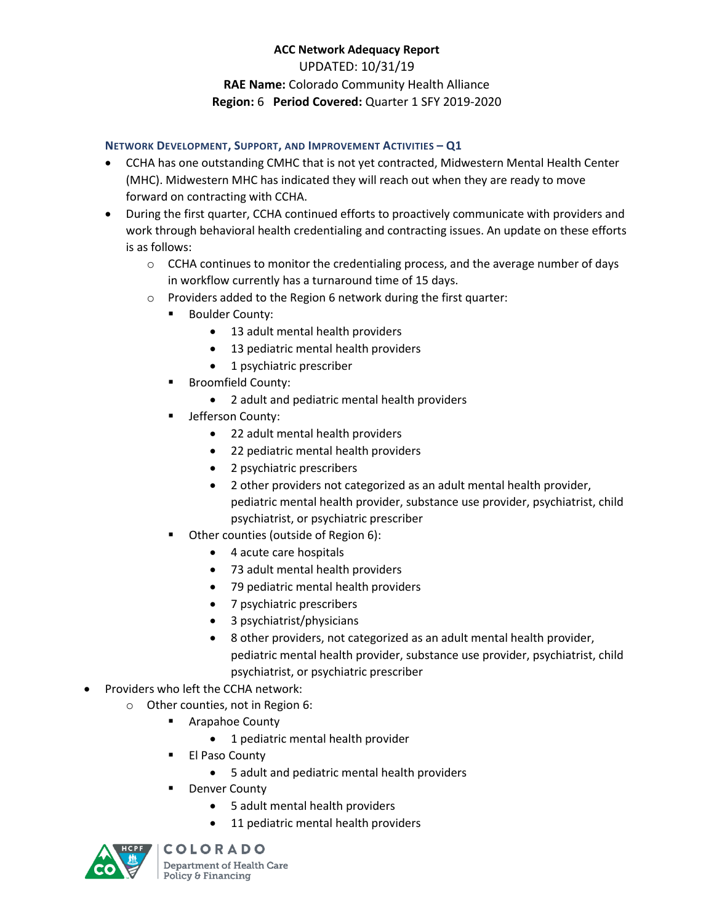# **ACC Network Adequacy Report**  UPDATED: 10/31/19 **RAE Name:** Colorado Community Health Alliance **Region:** 6 **Period Covered:** Quarter 1 SFY 2019-2020

#### **NETWORK DEVELOPMENT, SUPPORT, AND IMPROVEMENT ACTIVITIES – Q1**

- CCHA has one outstanding CMHC that is not yet contracted, Midwestern Mental Health Center (MHC). Midwestern MHC has indicated they will reach out when they are ready to move forward on contracting with CCHA.
- During the first quarter, CCHA continued efforts to proactively communicate with providers and work through behavioral health credentialing and contracting issues. An update on these efforts is as follows:
	- $\circ$  CCHA continues to monitor the credentialing process, and the average number of days in workflow currently has a turnaround time of 15 days.
	- o Providers added to the Region 6 network during the first quarter:
		- **Boulder County:** 
			- 13 adult mental health providers
			- 13 pediatric mental health providers
			- 1 psychiatric prescriber
		- Broomfield County:
			- 2 adult and pediatric mental health providers
		- Jefferson County:
			- 22 adult mental health providers
			- 22 pediatric mental health providers
			- 2 psychiatric prescribers
			- 2 other providers not categorized as an adult mental health provider, pediatric mental health provider, substance use provider, psychiatrist, child psychiatrist, or psychiatric prescriber
		- **•** Other counties (outside of Region 6):
			- 4 acute care hospitals
			- 73 adult mental health providers
			- 79 pediatric mental health providers
			- 7 psychiatric prescribers
			- 3 psychiatrist/physicians
			- 8 other providers, not categorized as an adult mental health provider, pediatric mental health provider, substance use provider, psychiatrist, child psychiatrist, or psychiatric prescriber
- Providers who left the CCHA network:
	- o Other counties, not in Region 6:
		- **E** Arapahoe County
			- 1 pediatric mental health provider
		- **El Paso County** 
			- 5 adult and pediatric mental health providers
		- Denver County
			- 5 adult mental health providers
			- 11 pediatric mental health providers



**COLORADO** 

Department of Health Care Policy & Financing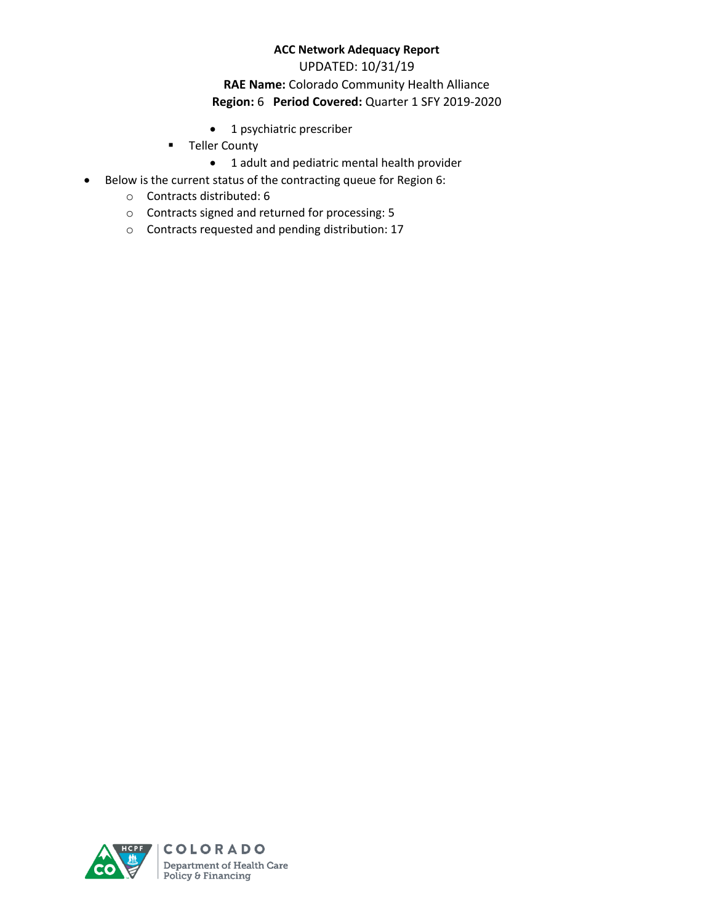#### UPDATED: 10/31/19

### **RAE Name:** Colorado Community Health Alliance **Region:** 6 **Period Covered:** Quarter 1 SFY 2019-2020

- 1 psychiatric prescriber
- **-** Teller County
	- 1 adult and pediatric mental health provider
- Below is the current status of the contracting queue for Region 6:
	- o Contracts distributed: 6
	- o Contracts signed and returned for processing: 5
	- o Contracts requested and pending distribution: 17

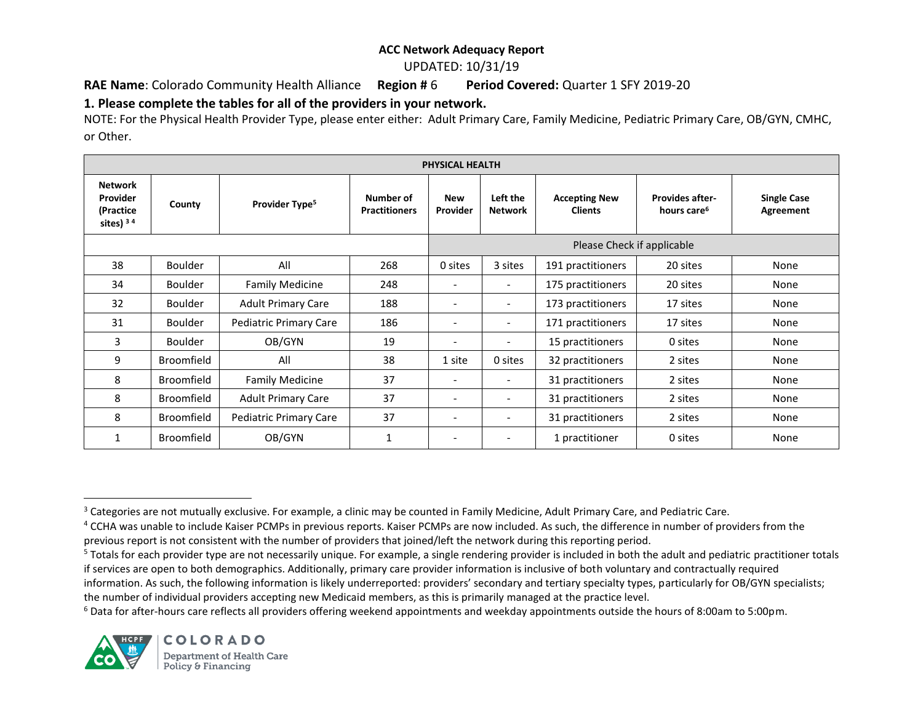#### UPDATED: 10/31/19

### **RAE Name**: Colorado Community Health Alliance **Region #** 6 **Period Covered:** Quarter 1 SFY 2019-20

## **1. Please complete the tables for all of the providers in your network.**

NOTE: For the Physical Health Provider Type, please enter either: Adult Primary Care, Family Medicine, Pediatric Primary Care, OB/GYN, CMHC, or Other.

| PHYSICAL HEALTH                                        |                   |                            |                                   |                          |                            |                                        |                                                   |                                 |  |  |  |
|--------------------------------------------------------|-------------------|----------------------------|-----------------------------------|--------------------------|----------------------------|----------------------------------------|---------------------------------------------------|---------------------------------|--|--|--|
| <b>Network</b><br>Provider<br>(Practice<br>sites) $34$ | County            | Provider Type <sup>5</sup> | Number of<br><b>Practitioners</b> | <b>New</b><br>Provider   | Left the<br><b>Network</b> | <b>Accepting New</b><br><b>Clients</b> | <b>Provides after-</b><br>hours care <sup>6</sup> | <b>Single Case</b><br>Agreement |  |  |  |
|                                                        |                   |                            |                                   |                          | Please Check if applicable |                                        |                                                   |                                 |  |  |  |
| 38                                                     | <b>Boulder</b>    | All                        | 268                               | 0 sites                  | 3 sites                    | 191 practitioners                      | 20 sites                                          | None                            |  |  |  |
| 34                                                     | <b>Boulder</b>    | <b>Family Medicine</b>     | 248                               |                          | $\overline{\phantom{a}}$   | 175 practitioners                      | 20 sites                                          | None                            |  |  |  |
| 32                                                     | Boulder           | <b>Adult Primary Care</b>  | 188                               |                          | $\overline{\phantom{a}}$   | 173 practitioners                      | 17 sites                                          | None                            |  |  |  |
| 31                                                     | <b>Boulder</b>    | Pediatric Primary Care     | 186                               | $\overline{\phantom{a}}$ | $\overline{\phantom{a}}$   | 171 practitioners                      | 17 sites                                          | None                            |  |  |  |
| 3                                                      | Boulder           | OB/GYN                     | 19                                |                          | $\overline{\phantom{a}}$   | 15 practitioners                       | 0 sites                                           | None                            |  |  |  |
| 9                                                      | Broomfield        | All                        | 38                                | 1 site                   | 0 sites                    | 32 practitioners                       | 2 sites                                           | None                            |  |  |  |
| 8                                                      | <b>Broomfield</b> | <b>Family Medicine</b>     | 37                                |                          | $\overline{\phantom{a}}$   | 31 practitioners                       | 2 sites                                           | None                            |  |  |  |
| 8                                                      | Broomfield        | <b>Adult Primary Care</b>  | 37                                |                          | $\overline{\phantom{a}}$   | 31 practitioners                       | 2 sites                                           | None                            |  |  |  |
| 8                                                      | <b>Broomfield</b> | Pediatric Primary Care     | 37                                | $\overline{\phantom{a}}$ | $\overline{\phantom{a}}$   | 31 practitioners                       | 2 sites                                           | None                            |  |  |  |
| 1                                                      | <b>Broomfield</b> | OB/GYN                     | 1                                 |                          |                            | 1 practitioner                         | 0 sites                                           | None                            |  |  |  |

<sup>&</sup>lt;sup>6</sup> Data for after-hours care reflects all providers offering weekend appointments and weekday appointments outside the hours of 8:00am to 5:00pm.



 $\overline{\phantom{a}}$ <sup>3</sup> Categories are not mutually exclusive. For example, a clinic may be counted in Family Medicine, Adult Primary Care, and Pediatric Care.

<sup>&</sup>lt;sup>4</sup> CCHA was unable to include Kaiser PCMPs in previous reports. Kaiser PCMPs are now included. As such, the difference in number of providers from the previous report is not consistent with the number of providers that joined/left the network during this reporting period.

<sup>&</sup>lt;sup>5</sup> Totals for each provider type are not necessarily unique. For example, a single rendering provider is included in both the adult and pediatric practitioner totals if services are open to both demographics. Additionally, primary care provider information is inclusive of both voluntary and contractually required information. As such, the following information is likely underreported: providers' secondary and tertiary specialty types, particularly for OB/GYN specialists;

the number of individual providers accepting new Medicaid members, as this is primarily managed at the practice level.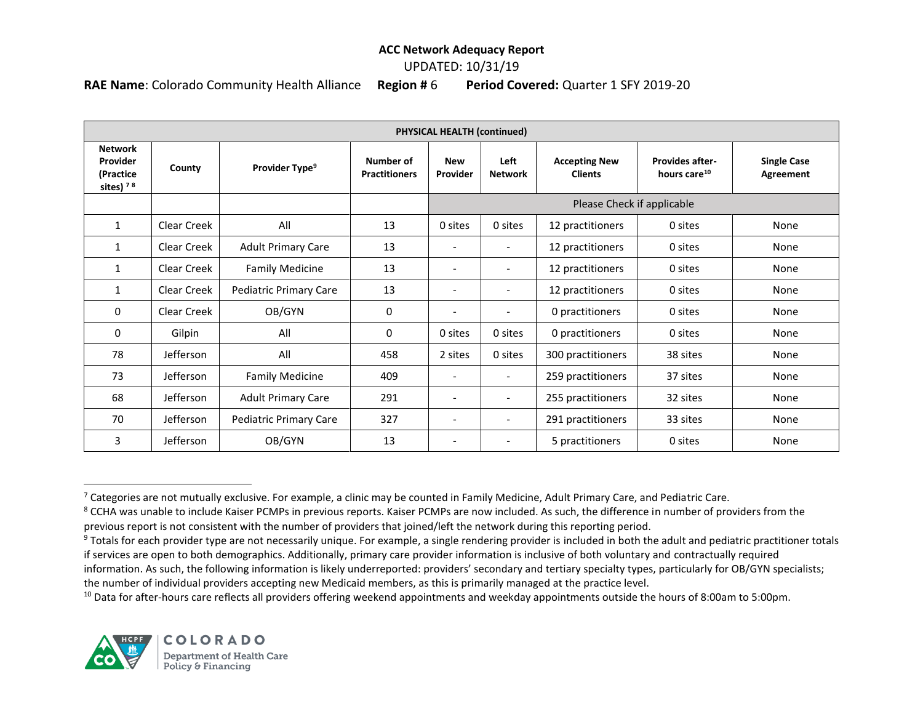### UPDATED: 10/31/19

**RAE Name**: Colorado Community Health Alliance **Region #** 6 **Period Covered:** Quarter 1 SFY 2019-20

| PHYSICAL HEALTH (continued)                            |                  |                            |                                   |                          |                          |                                        |                                                    |                                 |  |  |
|--------------------------------------------------------|------------------|----------------------------|-----------------------------------|--------------------------|--------------------------|----------------------------------------|----------------------------------------------------|---------------------------------|--|--|
| <b>Network</b><br>Provider<br>(Practice<br>sites) $78$ | County           | Provider Type <sup>9</sup> | Number of<br><b>Practitioners</b> | <b>New</b><br>Provider   | Left<br><b>Network</b>   | <b>Accepting New</b><br><b>Clients</b> | <b>Provides after-</b><br>hours care <sup>10</sup> | <b>Single Case</b><br>Agreement |  |  |
|                                                        |                  |                            |                                   |                          |                          | Please Check if applicable             |                                                    |                                 |  |  |
| $\mathbf{1}$                                           | Clear Creek      | All                        | 13                                | 0 sites                  | 0 sites                  | 12 practitioners                       | 0 sites                                            | None                            |  |  |
| $\mathbf{1}$                                           | Clear Creek      | <b>Adult Primary Care</b>  | 13                                | $\overline{\phantom{0}}$ | $\overline{\phantom{a}}$ | 12 practitioners                       | 0 sites                                            | None                            |  |  |
| 1                                                      | Clear Creek      | <b>Family Medicine</b>     | 13                                | $\overline{\phantom{0}}$ | $\overline{\phantom{a}}$ | 12 practitioners                       | 0 sites                                            | None                            |  |  |
| 1                                                      | Clear Creek      | Pediatric Primary Care     | 13                                | $\overline{\phantom{a}}$ |                          | 12 practitioners                       | 0 sites                                            | None                            |  |  |
| $\mathbf{0}$                                           | Clear Creek      | OB/GYN                     | 0                                 | $\overline{\phantom{0}}$ | $\overline{\phantom{0}}$ | 0 practitioners                        | 0 sites                                            | None                            |  |  |
| 0                                                      | Gilpin           | All                        | 0                                 | 0 sites                  | 0 sites                  | 0 practitioners                        | 0 sites                                            | None                            |  |  |
| 78                                                     | Jefferson        | All                        | 458                               | 2 sites                  | 0 sites                  | 300 practitioners                      | 38 sites                                           | None                            |  |  |
| 73                                                     | Jefferson        | <b>Family Medicine</b>     | 409                               |                          | $\overline{\phantom{0}}$ | 259 practitioners                      | 37 sites                                           | None                            |  |  |
| 68                                                     | Jefferson        | <b>Adult Primary Care</b>  | 291                               | $\overline{\phantom{a}}$ | $\overline{\phantom{a}}$ | 255 practitioners                      | 32 sites                                           | None                            |  |  |
| 70                                                     | Jefferson        | Pediatric Primary Care     | 327                               | $\overline{\phantom{0}}$ | $\overline{\phantom{0}}$ | 291 practitioners                      | 33 sites                                           | None                            |  |  |
| 3                                                      | <b>Jefferson</b> | OB/GYN                     | 13                                |                          |                          | 5 practitioners                        | 0 sites                                            | None                            |  |  |

 $7$  Categories are not mutually exclusive. For example, a clinic may be counted in Family Medicine, Adult Primary Care, and Pediatric Care.

<sup>8</sup> CCHA was unable to include Kaiser PCMPs in previous reports. Kaiser PCMPs are now included. As such, the difference in number of providers from the previous report is not consistent with the number of providers that joined/left the network during this reporting period.

<sup>9</sup> Totals for each provider type are not necessarily unique. For example, a single rendering provider is included in both the adult and pediatric practitioner totals if services are open to both demographics. Additionally, primary care provider information is inclusive of both voluntary and contractually required information. As such, the following information is likely underreported: providers' secondary and tertiary specialty types, particularly for OB/GYN specialists; the number of individual providers accepting new Medicaid members, as this is primarily managed at the practice level.

<sup>10</sup> Data for after-hours care reflects all providers offering weekend appointments and weekday appointments outside the hours of 8:00am to 5:00pm.

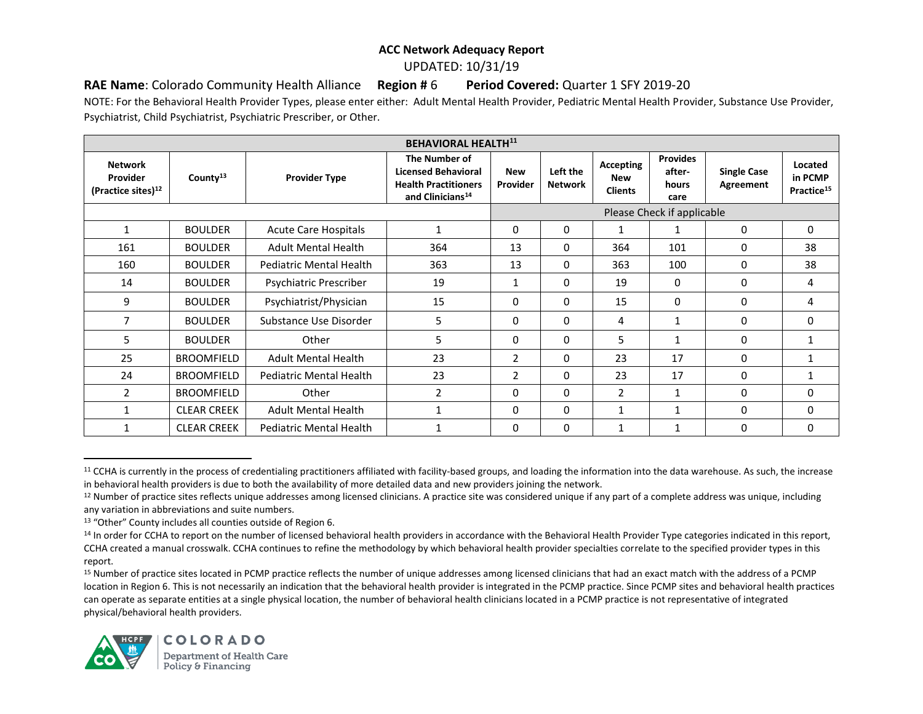UPDATED: 10/31/19

**RAE Name**: Colorado Community Health Alliance **Region #** 6 **Period Covered:** Quarter 1 SFY 2019-20

NOTE: For the Behavioral Health Provider Types, please enter either: Adult Mental Health Provider, Pediatric Mental Health Provider, Substance Use Provider, Psychiatrist, Child Psychiatrist, Psychiatric Prescriber, or Other.

| <b>BEHAVIORAL HEALTH11</b>                                   |                      |                                |                                                                                                            |                        |                            |                                           |                                            |                                 |                                              |
|--------------------------------------------------------------|----------------------|--------------------------------|------------------------------------------------------------------------------------------------------------|------------------------|----------------------------|-------------------------------------------|--------------------------------------------|---------------------------------|----------------------------------------------|
| <b>Network</b><br>Provider<br>(Practice sites) <sup>12</sup> | County <sup>13</sup> | <b>Provider Type</b>           | The Number of<br><b>Licensed Behavioral</b><br><b>Health Practitioners</b><br>and Clinicians <sup>14</sup> | <b>New</b><br>Provider | Left the<br><b>Network</b> | Accepting<br><b>New</b><br><b>Clients</b> | <b>Provides</b><br>after-<br>hours<br>care | <b>Single Case</b><br>Agreement | Located<br>in PCMP<br>Practice <sup>15</sup> |
|                                                              |                      |                                |                                                                                                            |                        |                            |                                           | Please Check if applicable                 |                                 |                                              |
| $\mathbf{1}$                                                 | <b>BOULDER</b>       | <b>Acute Care Hospitals</b>    | 1                                                                                                          | $\mathbf{0}$           | $\mathbf{0}$               | 1                                         | 1                                          | 0                               | 0                                            |
| 161                                                          | <b>BOULDER</b>       | <b>Adult Mental Health</b>     | 364                                                                                                        | 13                     | $\mathbf{0}$               | 364                                       | 101                                        | 0                               | 38                                           |
| 160                                                          | <b>BOULDER</b>       | <b>Pediatric Mental Health</b> | 363                                                                                                        | 13                     | $\mathbf{0}$               | 363                                       | 100                                        | 0                               | 38                                           |
| 14                                                           | <b>BOULDER</b>       | Psychiatric Prescriber         | 19                                                                                                         | 1                      | $\Omega$                   | 19                                        | $\mathbf{0}$                               | $\Omega$                        | 4                                            |
| 9                                                            | <b>BOULDER</b>       | Psychiatrist/Physician         | 15                                                                                                         | 0                      | 0                          | 15                                        | $\mathbf{0}$                               | $\Omega$                        | 4                                            |
| 7                                                            | <b>BOULDER</b>       | Substance Use Disorder         | 5                                                                                                          | $\Omega$               | $\Omega$                   | 4                                         | $\mathbf{1}$                               | 0                               | 0                                            |
| 5                                                            | <b>BOULDER</b>       | Other                          | 5                                                                                                          | $\mathbf{0}$           | $\Omega$                   | 5                                         | 1                                          | 0                               |                                              |
| 25                                                           | <b>BROOMFIELD</b>    | <b>Adult Mental Health</b>     | 23                                                                                                         | $\overline{2}$         | 0                          | 23                                        | 17                                         | 0                               |                                              |
| 24                                                           | <b>BROOMFIELD</b>    | Pediatric Mental Health        | 23                                                                                                         | $\overline{2}$         | 0                          | 23                                        | 17                                         | 0                               |                                              |
| $\overline{2}$                                               | <b>BROOMFIELD</b>    | Other                          | $\overline{2}$                                                                                             | $\Omega$               | $\mathbf{0}$               | 2                                         | 1                                          | 0                               | 0                                            |
| 1                                                            | <b>CLEAR CREEK</b>   | <b>Adult Mental Health</b>     |                                                                                                            | 0                      | $\Omega$                   | 1                                         | $\mathbf{1}$                               | 0                               | 0                                            |
|                                                              | <b>CLEAR CREEK</b>   | <b>Pediatric Mental Health</b> |                                                                                                            | 0                      | $\mathbf{0}$               |                                           | 1                                          | 0                               | $\mathbf{0}$                                 |

<sup>&</sup>lt;sup>11</sup> CCHA is currently in the process of credentialing practitioners affiliated with facility-based groups, and loading the information into the data warehouse. As such, the increase in behavioral health providers is due to both the availability of more detailed data and new providers joining the network.

<sup>&</sup>lt;sup>15</sup> Number of practice sites located in PCMP practice reflects the number of unique addresses among licensed clinicians that had an exact match with the address of a PCMP location in Region 6. This is not necessarily an indication that the behavioral health provider is integrated in the PCMP practice. Since PCMP sites and behavioral health practices can operate as separate entities at a single physical location, the number of behavioral health clinicians located in a PCMP practice is not representative of integrated physical/behavioral health providers.



 $\overline{\phantom{a}}$ 

<sup>&</sup>lt;sup>12</sup> Number of practice sites reflects unique addresses among licensed clinicians. A practice site was considered unique if any part of a complete address was unique, including any variation in abbreviations and suite numbers.

<sup>13</sup> "Other" County includes all counties outside of Region 6.

<sup>&</sup>lt;sup>14</sup> In order for CCHA to report on the number of licensed behavioral health providers in accordance with the Behavioral Health Provider Type categories indicated in this report, CCHA created a manual crosswalk. CCHA continues to refine the methodology by which behavioral health provider specialties correlate to the specified provider types in this report.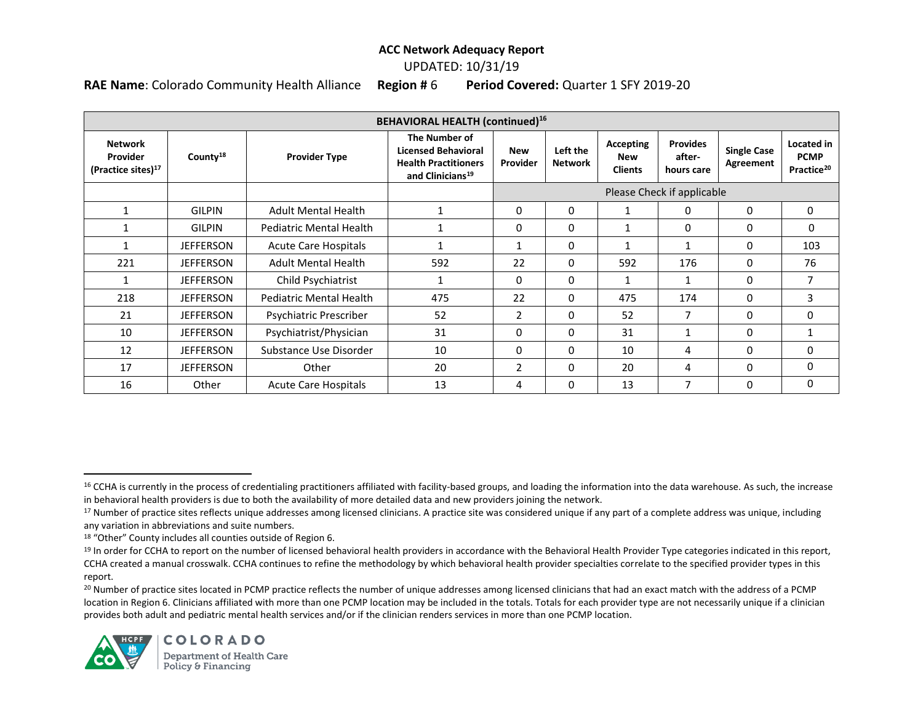#### UPDATED: 10/31/19

**RAE Name**: Colorado Community Health Alliance **Region #** 6 **Period Covered:** Quarter 1 SFY 2019-20

| <b>BEHAVIORAL HEALTH (continued)</b> <sup>16</sup>           |                      |                                |                                                                                                            |                        |                            |                                           |                                         |                                 |                                                     |
|--------------------------------------------------------------|----------------------|--------------------------------|------------------------------------------------------------------------------------------------------------|------------------------|----------------------------|-------------------------------------------|-----------------------------------------|---------------------------------|-----------------------------------------------------|
| <b>Network</b><br>Provider<br>(Practice sites) <sup>17</sup> | County <sup>18</sup> | <b>Provider Type</b>           | The Number of<br><b>Licensed Behavioral</b><br><b>Health Practitioners</b><br>and Clinicians <sup>19</sup> | <b>New</b><br>Provider | Left the<br><b>Network</b> | <b>Accepting</b><br>New<br><b>Clients</b> | <b>Provides</b><br>after-<br>hours care | <b>Single Case</b><br>Agreement | Located in<br><b>PCMP</b><br>Practice <sup>20</sup> |
|                                                              |                      |                                |                                                                                                            |                        |                            |                                           | Please Check if applicable              |                                 |                                                     |
|                                                              | <b>GILPIN</b>        | <b>Adult Mental Health</b>     | 1                                                                                                          | 0                      | 0                          | 1                                         | $\mathbf{0}$                            | $\mathbf{0}$                    | 0                                                   |
|                                                              | <b>GILPIN</b>        | <b>Pediatric Mental Health</b> |                                                                                                            | 0                      | 0                          | $\mathbf{1}$                              | 0                                       | 0                               | 0                                                   |
|                                                              | <b>JEFFERSON</b>     | <b>Acute Care Hospitals</b>    |                                                                                                            |                        | 0                          | 1                                         |                                         | 0                               | 103                                                 |
| 221                                                          | <b>JEFFERSON</b>     | <b>Adult Mental Health</b>     | 592                                                                                                        | 22                     | 0                          | 592                                       | 176                                     | $\Omega$                        | 76                                                  |
|                                                              | <b>JEFFERSON</b>     | Child Psychiatrist             |                                                                                                            | 0                      | 0                          | 1                                         | 1                                       | $\Omega$                        | 7                                                   |
| 218                                                          | <b>JEFFERSON</b>     | <b>Pediatric Mental Health</b> | 475                                                                                                        | 22                     | 0                          | 475                                       | 174                                     | 0                               | 3                                                   |
| 21                                                           | <b>JEFFERSON</b>     | Psychiatric Prescriber         | 52                                                                                                         | $\overline{2}$         | 0                          | 52                                        | $\overline{7}$                          | $\Omega$                        | $\mathbf{0}$                                        |
| 10                                                           | <b>JEFFERSON</b>     | Psychiatrist/Physician         | 31                                                                                                         | 0                      | 0                          | 31                                        | 1                                       | 0                               | 1                                                   |
| 12                                                           | <b>JEFFERSON</b>     | Substance Use Disorder         | 10                                                                                                         | 0                      | 0                          | 10                                        | 4                                       | 0                               | 0                                                   |
| 17                                                           | <b>JEFFERSON</b>     | Other                          | 20                                                                                                         | $\overline{2}$         | 0                          | 20                                        | 4                                       | $\Omega$                        | 0                                                   |
| 16                                                           | Other                | <b>Acute Care Hospitals</b>    | 13                                                                                                         | 4                      | 0                          | 13                                        | 7                                       | $\Omega$                        | 0                                                   |

<sup>&</sup>lt;sup>20</sup> Number of practice sites located in PCMP practice reflects the number of unique addresses among licensed clinicians that had an exact match with the address of a PCMP location in Region 6. Clinicians affiliated with more than one PCMP location may be included in the totals. Totals for each provider type are not necessarily unique if a clinician provides both adult and pediatric mental health services and/or if the clinician renders services in more than one PCMP location.



<sup>&</sup>lt;sup>16</sup> CCHA is currently in the process of credentialing practitioners affiliated with facility-based groups, and loading the information into the data warehouse. As such, the increase in behavioral health providers is due to both the availability of more detailed data and new providers joining the network.

<sup>17</sup> Number of practice sites reflects unique addresses among licensed clinicians. A practice site was considered unique if any part of a complete address was unique, including any variation in abbreviations and suite numbers.

<sup>18</sup> "Other" County includes all counties outside of Region 6.

<sup>&</sup>lt;sup>19</sup> In order for CCHA to report on the number of licensed behavioral health providers in accordance with the Behavioral Health Provider Type categories indicated in this report, CCHA created a manual crosswalk. CCHA continues to refine the methodology by which behavioral health provider specialties correlate to the specified provider types in this report.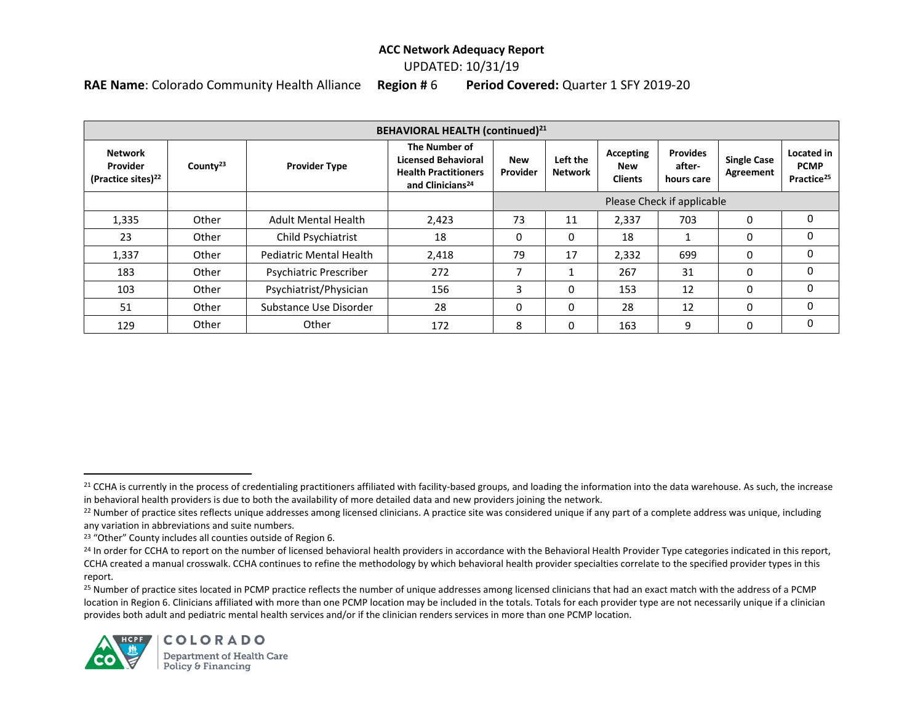### UPDATED: 10/31/19

**RAE Name**: Colorado Community Health Alliance **Region #** 6 **Period Covered:** Quarter 1 SFY 2019-20

| <b>BEHAVIORAL HEALTH (continued)</b> <sup>21</sup>           |                      |                                |                                                                                                            |                               |                            |                                    |                                         |                                 |                                                     |
|--------------------------------------------------------------|----------------------|--------------------------------|------------------------------------------------------------------------------------------------------------|-------------------------------|----------------------------|------------------------------------|-----------------------------------------|---------------------------------|-----------------------------------------------------|
| <b>Network</b><br>Provider<br>(Practice sites) <sup>22</sup> | County <sup>23</sup> | <b>Provider Type</b>           | The Number of<br><b>Licensed Behavioral</b><br><b>Health Practitioners</b><br>and Clinicians <sup>24</sup> | <b>New</b><br><b>Provider</b> | Left the<br><b>Network</b> | Accepting<br>New<br><b>Clients</b> | <b>Provides</b><br>after-<br>hours care | <b>Single Case</b><br>Agreement | Located in<br><b>PCMP</b><br>Practice <sup>25</sup> |
|                                                              |                      |                                |                                                                                                            | Please Check if applicable    |                            |                                    |                                         |                                 |                                                     |
| 1,335                                                        | Other                | <b>Adult Mental Health</b>     | 2,423                                                                                                      | 73                            | 11                         | 2,337                              | 703                                     | $\Omega$                        | $\Omega$                                            |
| 23                                                           | Other                | Child Psychiatrist             | 18                                                                                                         | 0                             | 0                          | 18                                 |                                         | 0                               | $\Omega$                                            |
| 1,337                                                        | Other                | <b>Pediatric Mental Health</b> | 2,418                                                                                                      | 79                            | 17                         | 2,332                              | 699                                     | 0                               | $\Omega$                                            |
| 183                                                          | Other                | Psychiatric Prescriber         | 272                                                                                                        | ⇁                             | 1                          | 267                                | 31                                      | $\Omega$                        | $\Omega$                                            |
| 103                                                          | Other                | Psychiatrist/Physician         | 156                                                                                                        | 3                             | 0                          | 153                                | 12                                      | 0                               | $\Omega$                                            |
| 51                                                           | Other                | Substance Use Disorder         | 28                                                                                                         | 0                             | $\Omega$                   | 28                                 | 12                                      | $\Omega$                        | $\Omega$                                            |
| 129                                                          | Other                | Other                          | 172                                                                                                        | 8                             | 0                          | 163                                | 9                                       | 0                               | 0                                                   |

<sup>&</sup>lt;sup>25</sup> Number of practice sites located in PCMP practice reflects the number of unique addresses among licensed clinicians that had an exact match with the address of a PCMP location in Region 6. Clinicians affiliated with more than one PCMP location may be included in the totals. Totals for each provider type are not necessarily unique if a clinician provides both adult and pediatric mental health services and/or if the clinician renders services in more than one PCMP location.



<sup>&</sup>lt;sup>21</sup> CCHA is currently in the process of credentialing practitioners affiliated with facility-based groups, and loading the information into the data warehouse. As such, the increase in behavioral health providers is due to both the availability of more detailed data and new providers joining the network.

<sup>&</sup>lt;sup>22</sup> Number of practice sites reflects unique addresses among licensed clinicians. A practice site was considered unique if any part of a complete address was unique, including any variation in abbreviations and suite numbers.

<sup>23</sup> "Other" County includes all counties outside of Region 6.

<sup>&</sup>lt;sup>24</sup> In order for CCHA to report on the number of licensed behavioral health providers in accordance with the Behavioral Health Provider Type categories indicated in this report, CCHA created a manual crosswalk. CCHA continues to refine the methodology by which behavioral health provider specialties correlate to the specified provider types in this report.